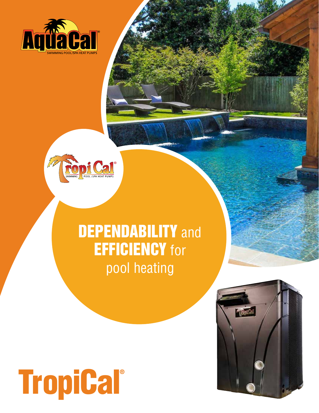



## **DEPENDABILITY** and **EFFICIENCY** for pool heating

## **TropiCal®**